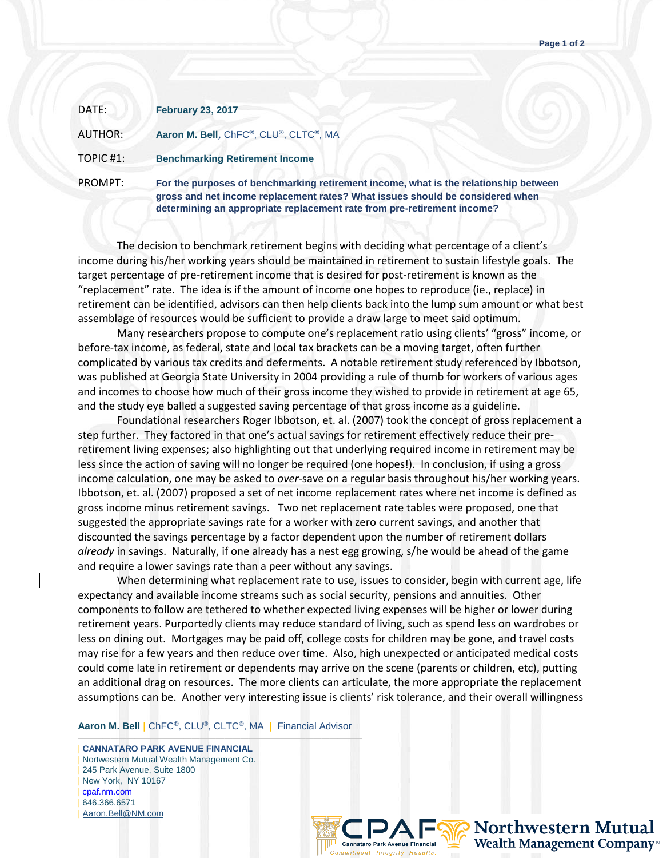| DATE:          | <b>February 23, 2017</b>                                                              |
|----------------|---------------------------------------------------------------------------------------|
| <b>AUTHOR:</b> | Aaron M. Bell, ChFC®, CLU®, CLTC®, MA                                                 |
| TOPIC #1:      | <b>Benchmarking Retirement Income</b>                                                 |
| PROMPT:        | For the purposes of benchmarking retirem<br>ornes and net income replacement rates? I |

ent income, what is the relationship between et income replacement rates? What issues should be considered when **determining an appropriate replacement rate from pre-retirement income?** 

The decision to benchmark retirement begins with deciding what percentage of a client's income during his/her working years should be maintained in retirement to sustain lifestyle goals. The target percentage of pre-retirement income that is desired for post-retirement is known as the "replacement" rate. The idea is if the amount of income one hopes to reproduce (ie., replace) in retirement can be identified, advisors can then help clients back into the lump sum amount or what best assemblage of resources would be sufficient to provide a draw large to meet said optimum.

Many researchers propose to compute one's replacement ratio using clients' "gross" income, or before-tax income, as federal, state and local tax brackets can be a moving target, often further complicated by various tax credits and deferments. A notable retirement study referenced by Ibbotson, was published at Georgia State University in 2004 providing a rule of thumb for workers of various ages and incomes to choose how much of their gross income they wished to provide in retirement at age 65, and the study eye balled a suggested saving percentage of that gross income as a guideline.

Foundational researchers Roger Ibbotson, et. al. (2007) took the concept of gross replacement a step further. They factored in that one's actual savings for retirement effectively reduce their preretirement living expenses; also highlighting out that underlying required income in retirement may be less since the action of saving will no longer be required (one hopes!). In conclusion, if using a gross income calculation, one may be asked to *over*-save on a regular basis throughout his/her working years. Ibbotson, et. al. (2007) proposed a set of net income replacement rates where net income is defined as gross income minus retirement savings. Two net replacement rate tables were proposed, one that suggested the appropriate savings rate for a worker with zero current savings, and another that discounted the savings percentage by a factor dependent upon the number of retirement dollars *already* in savings. Naturally, if one already has a nest egg growing, s/he would be ahead of the game and require a lower savings rate than a peer without any savings.

When determining what replacement rate to use, issues to consider, begin with current age, life expectancy and available income streams such as social security, pensions and annuities. Other components to follow are tethered to whether expected living expenses will be higher or lower during retirement years. Purportedly clients may reduce standard of living, such as spend less on wardrobes or less on dining out. Mortgages may be paid off, college costs for children may be gone, and travel costs may rise for a few years and then reduce over time. Also, high unexpected or anticipated medical costs could come late in retirement or dependents may arrive on the scene (parents or children, etc), putting an additional drag on resources. The more clients can articulate, the more appropriate the replacement assumptions can be. Another very interesting issue is clients' risk tolerance, and their overall willingness

**Aaron M. Bell |** ChFC**®**, CLU®, CLTC**®**, MA **|** Financial Advisor

——————————————————————————————————— | **CANNATARO PARK AVENUE FINANCIAL** | Nortwestern Mutual Wealth Management Co. | 245 Park Avenue, Suite 1800 | New York, NY 10167 | [cpaf.nm.com](http://www.cpaf.nm.com/) | 646.366.6571 [Aaron.Bell@NM.com](mailto:Aaron.Bell@NM.com)